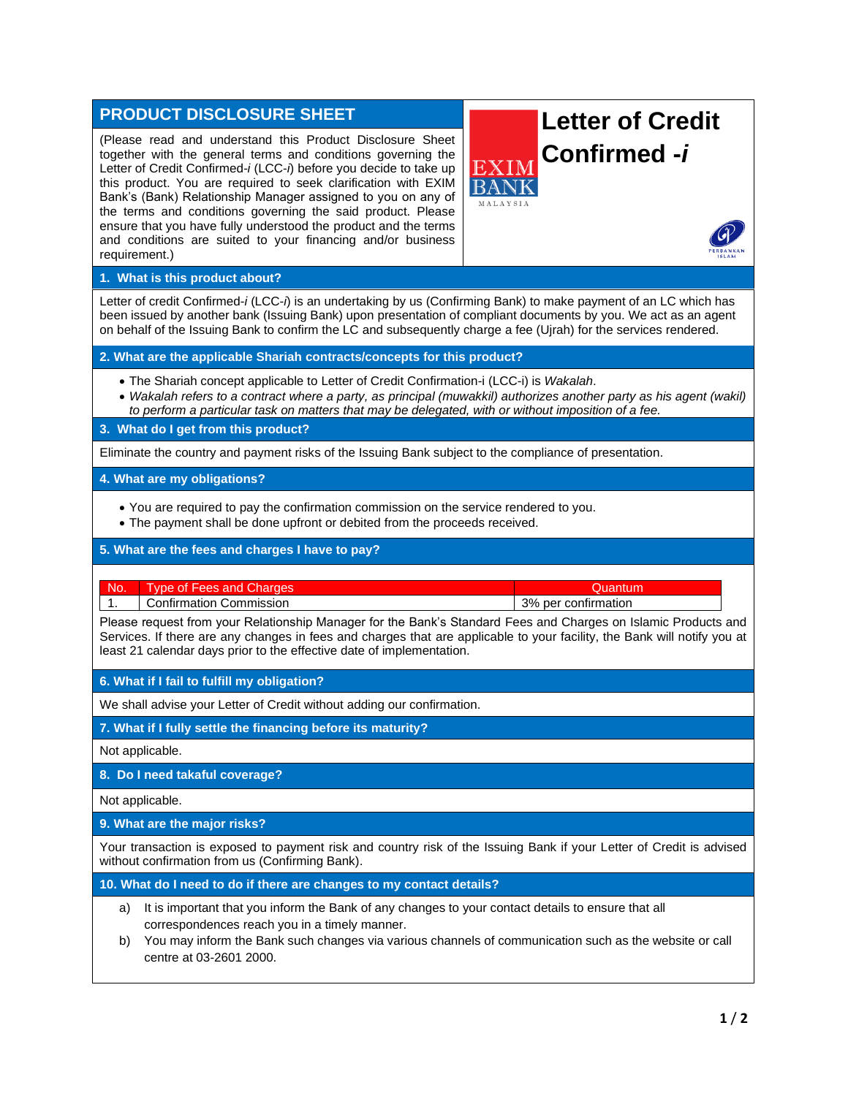# **PRODUCT DISCLOSURE SHEET**

(Please read and understand this Product Disclosure Sheet together with the general terms and conditions governing the Letter of Credit Confirmed-*i* (LCC-*i*) before you decide to take up this product. You are required to seek clarification with EXIM Bank's (Bank) Relationship Manager assigned to you on any of the terms and conditions governing the said product. Please ensure that you have fully understood the product and the terms and conditions are suited to your financing and/or business requirement.)

# **Letter of Credit Confirmed -***i*

3% per confirmation

**IALAVSI** 



#### **1. What is this product about?**

Letter of credit Confirmed-*i* (LCC-*i*) is an undertaking by us (Confirming Bank) to make payment of an LC which has been issued by another bank (Issuing Bank) upon presentation of compliant documents by you. We act as an agent on behalf of the Issuing Bank to confirm the LC and subsequently charge a fee (Ujrah) for the services rendered.

**2. What are the applicable Shariah contracts/concepts for this product?**

- The Shariah concept applicable to Letter of Credit Confirmation-i (LCC-i) is *Wakalah*.
- *Wakalah refers to a contract where a party, as principal (muwakkil) authorizes another party as his agent (wakil) to perform a particular task on matters that may be delegated, with or without imposition of a fee.*

### **3. What do I get from this product?**

Eliminate the country and payment risks of the Issuing Bank subject to the compliance of presentation.

#### **4. What are my obligations?**

- You are required to pay the confirmation commission on the service rendered to you.
- The payment shall be done upfront or debited from the proceeds received.

## **5. What are the fees and charges I have to pay?**

No. | Type of Fees and Charges | No. | Quantum Quantum | Quantum Quantum | Quantum Quantum | Quantum Quantum |

|                | $110.$ Type of Fees and Unarges |
|----------------|---------------------------------|
| $\overline{A}$ | L Confirmation Commission       |

| Please request from your Relationship Manager for the Bank's Standard Fees and Charges on Islamic Products and           |
|--------------------------------------------------------------------------------------------------------------------------|
| Services. If there are any changes in fees and charges that are applicable to your facility, the Bank will notify you at |
| least 21 calendar days prior to the effective date of implementation.                                                    |

**6. What if I fail to fulfill my obligation?**

We shall advise your Letter of Credit without adding our confirmation.

**7. What if I fully settle the financing before its maturity?**

Not applicable.

**8. Do I need takaful coverage?**

Not applicable.

**9. What are the major risks?**

Your transaction is exposed to payment risk and country risk of the Issuing Bank if your Letter of Credit is advised without confirmation from us (Confirming Bank).

**10. What do I need to do if there are changes to my contact details?**

- a) It is important that you inform the Bank of any changes to your contact details to ensure that all correspondences reach you in a timely manner.
- b) You may inform the Bank such changes via various channels of communication such as the website or call centre at 03-2601 2000.